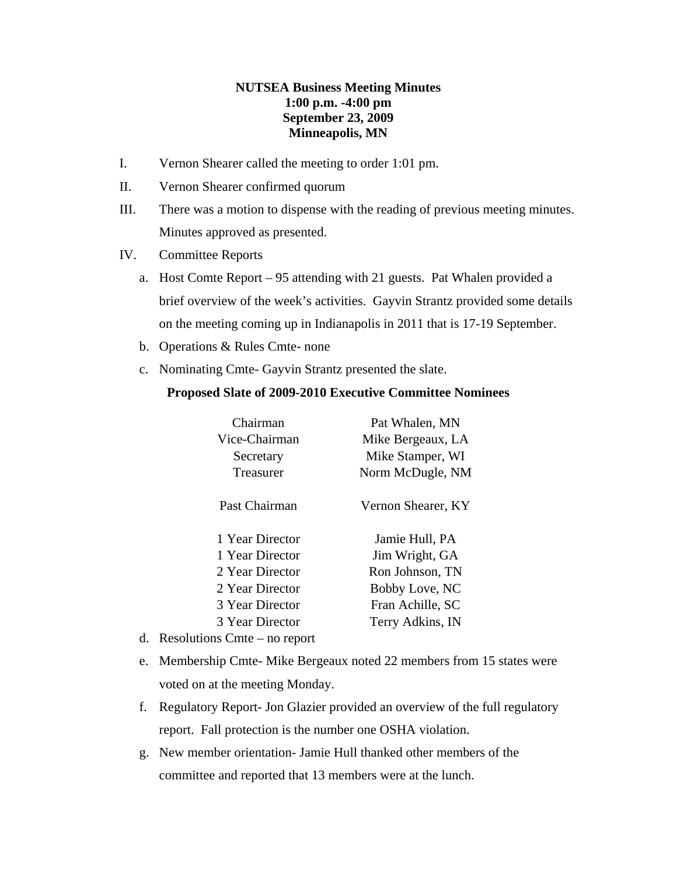## **NUTSEA Business Meeting Minutes 1:00 p.m. -4:00 pm September 23, 2009 Minneapolis, MN**

- I. Vernon Shearer called the meeting to order 1:01 pm.
- II. Vernon Shearer confirmed quorum
- III. There was a motion to dispense with the reading of previous meeting minutes. Minutes approved as presented.
- IV. Committee Reports
	- a. Host Comte Report 95 attending with 21 guests. Pat Whalen provided a brief overview of the week's activities. Gayvin Strantz provided some details on the meeting coming up in Indianapolis in 2011 that is 17-19 September.
	- b. Operations & Rules Cmte- none
	- c. Nominating Cmte- Gayvin Strantz presented the slate.

## **Proposed Slate of 2009-2010 Executive Committee Nominees**

| Chairman        | Pat Whalen, MN     |
|-----------------|--------------------|
| Vice-Chairman   | Mike Bergeaux, LA  |
| Secretary       | Mike Stamper, WI   |
| Treasurer       | Norm McDugle, NM   |
| Past Chairman   | Vernon Shearer, KY |
| 1 Year Director | Jamie Hull, PA     |
| 1 Year Director | Jim Wright, GA     |
| 2 Year Director | Ron Johnson, TN    |
| 2 Year Director | Bobby Love, NC     |
| 3 Year Director | Fran Achille, SC   |
| 3 Year Director | Terry Adkins, IN   |
|                 |                    |

- d. Resolutions Cmte no report
- e. Membership Cmte- Mike Bergeaux noted 22 members from 15 states were voted on at the meeting Monday.
- f. Regulatory Report- Jon Glazier provided an overview of the full regulatory report. Fall protection is the number one OSHA violation.
- g. New member orientation- Jamie Hull thanked other members of the committee and reported that 13 members were at the lunch.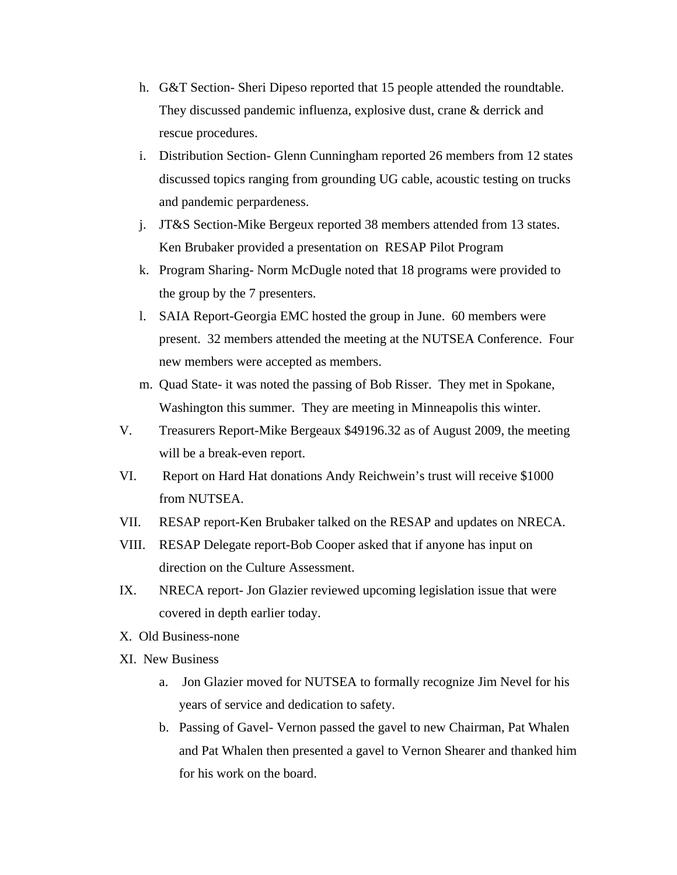- h. G&T Section- Sheri Dipeso reported that 15 people attended the roundtable. They discussed pandemic influenza, explosive dust, crane & derrick and rescue procedures.
- i. Distribution Section- Glenn Cunningham reported 26 members from 12 states discussed topics ranging from grounding UG cable, acoustic testing on trucks and pandemic perpardeness.
- j. JT&S Section-Mike Bergeux reported 38 members attended from 13 states. Ken Brubaker provided a presentation on RESAP Pilot Program
- k. Program Sharing- Norm McDugle noted that 18 programs were provided to the group by the 7 presenters.
- l. SAIA Report-Georgia EMC hosted the group in June. 60 members were present. 32 members attended the meeting at the NUTSEA Conference. Four new members were accepted as members.
- m. Quad State- it was noted the passing of Bob Risser. They met in Spokane, Washington this summer. They are meeting in Minneapolis this winter.
- V. Treasurers Report-Mike Bergeaux \$49196.32 as of August 2009, the meeting will be a break-even report.
- VI. Report on Hard Hat donations Andy Reichwein's trust will receive \$1000 from NUTSEA.
- VII. RESAP report-Ken Brubaker talked on the RESAP and updates on NRECA.
- VIII. RESAP Delegate report-Bob Cooper asked that if anyone has input on direction on the Culture Assessment.
- IX. NRECA report- Jon Glazier reviewed upcoming legislation issue that were covered in depth earlier today.
- X. Old Business-none
- XI. New Business
	- a. Jon Glazier moved for NUTSEA to formally recognize Jim Nevel for his years of service and dedication to safety.
	- b. Passing of Gavel- Vernon passed the gavel to new Chairman, Pat Whalen and Pat Whalen then presented a gavel to Vernon Shearer and thanked him for his work on the board.